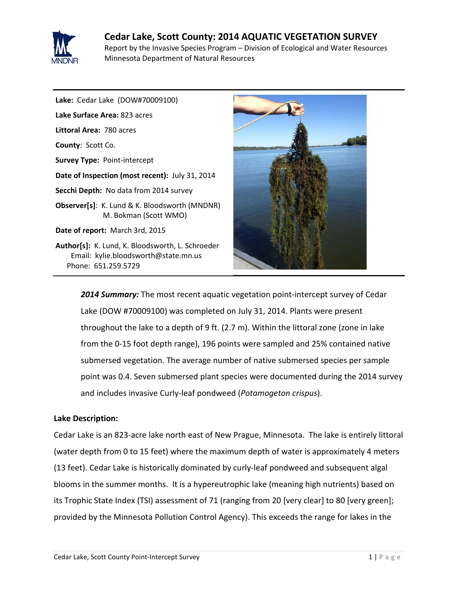

# **Cedar Lake, Scott County: 2014 AQUATIC VEGETATION SURVEY** Report by the Invasive Species Program – Division of Ecological and Water Resources Minnesota Department of Natural Resources

**Lake:** Cedar Lake(DOW#70009100) **Lake Surface Area:** 823 acres **Littoral Area:** 780 acres **County**: Scott Co. **Survey Type:** Point-intercept **Date of Inspection (most recent):** July 31, 2014 **Secchi Depth:** No data from 2014 survey **Observer[s]**: K. Lund & K. Bloodsworth (MNDNR) M. Bokman (Scott WMO) **Date of report:** March 3rd, 2015 **Author[s]:** K. Lund, K. Bloodsworth, L. Schroeder Email: kylie.bloodsworth@state.mn.us

Phone: 651.259.5729



*2014 Summary:* The most recent aquatic vegetation point-intercept survey of Cedar Lake (DOW #70009100) was completed on July 31, 2014. Plants were present throughout the lake to a depth of 9 ft. (2.7 m). Within the littoral zone (zone in lake from the 0-15 foot depth range), 196 points were sampled and 25% contained native submersed vegetation. The average number of native submersed species per sample point was 0.4. Seven submersed plant species were documented during the 2014 survey and includes invasive Curly-leaf pondweed (*Potamogeton crispus*).

# **Lake Description:**

Cedar Lake is an 823-acre lake north east of New Prague, Minnesota. The lake is entirely littoral (water depth from 0 to 15 feet) where the maximum depth of water is approximately 4 meters (13 feet). Cedar Lake is historically dominated by curly-leaf pondweed and subsequent algal blooms in the summer months. It is a hypereutrophic lake (meaning high nutrients) based on its Trophic State Index (TSI) assessment of 71 (ranging from 20 [very clear] to 80 [very green]; provided by the Minnesota Pollution Control Agency). This exceeds the range for lakes in the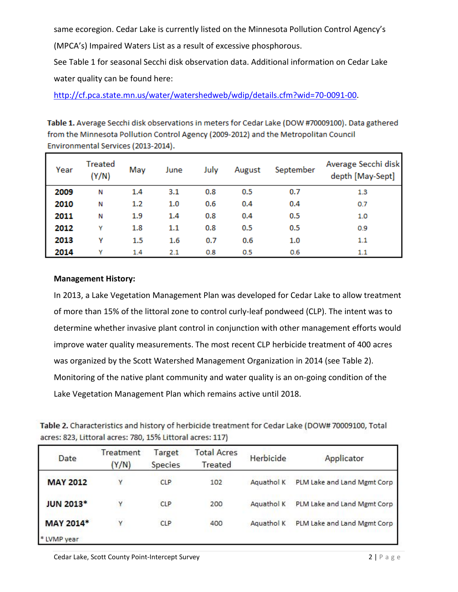same ecoregion. Cedar Lake is currently listed on the Minnesota Pollution Control Agency's

(MPCA's) Impaired Waters List as a result of excessive phosphorous.

See Table 1 for seasonal Secchi disk observation data. Additional information on Cedar Lake water quality can be found here:

[http://cf.pca.state.mn.us/water/watershedweb/wdip/details.cfm?wid=70-0091-00.](http://cf.pca.state.mn.us/water/watershedweb/wdip/details.cfm?wid=70-0091-00)

Table 1. Average Secchi disk observations in meters for Cedar Lake (DOW #70009100). Data gathered from the Minnesota Pollution Control Agency (2009-2012) and the Metropolitan Council Environmental Services (2013-2014).

| Year | Treated<br>(Y/N) | May     | June    | July | August | September | Average Secchi disk<br>depth [May-Sept] |
|------|------------------|---------|---------|------|--------|-----------|-----------------------------------------|
| 2009 | N                | 1.4     | 3.1     | 0.8  | 0.5    | 0.7       | 1.3                                     |
| 2010 | N                | 1.2     | 1.0     | 0.6  | 0.4    | 0.4       | 0.7                                     |
| 2011 | N                | 1.9     | 1.4     | 0.8  | 0.4    | 0.5       | 1.0                                     |
| 2012 | Υ                | 1.8     | $1.1\,$ | 0.8  | 0.5    | 0.5       | 0.9                                     |
| 2013 | γ                | $1.5\,$ | 1.6     | 0.7  | 0.6    | 1.0       | 1.1                                     |
| 2014 | v                | 1.4     | 2.1     | 0.8  | 0.5    | 0.6       | $1.1\,$                                 |

## **Management History:**

In 2013, a Lake Vegetation Management Plan was developed for Cedar Lake to allow treatment of more than 15% of the littoral zone to control curly-leaf pondweed (CLP). The intent was to determine whether invasive plant control in conjunction with other management efforts would improve water quality measurements. The most recent CLP herbicide treatment of 400 acres was organized by the Scott Watershed Management Organization in 2014 (see Table 2). Monitoring of the native plant community and water quality is an on-going condition of the Lake Vegetation Management Plan which remains active until 2018.

| Table 2. Characteristics and history of herbicide treatment for Cedar Lake (DOW# 70009100, Total |  |
|--------------------------------------------------------------------------------------------------|--|
| acres: 823, Littoral acres: 780, 15% Littoral acres: 117)                                        |  |

| Date             | Treatment<br>(Y/N) | Target<br><b>Species</b> | <b>Total Acres</b><br>Treated | Herbicide  | Applicator                  |
|------------------|--------------------|--------------------------|-------------------------------|------------|-----------------------------|
| <b>MAY 2012</b>  | γ                  | <b>CLP</b>               | 102                           | Aquathol K | PLM Lake and Land Mgmt Corp |
| <b>JUN 2013*</b> | Υ                  | <b>CLP</b>               | 200                           | Aquathol K | PLM Lake and Land Mgmt Corp |
| <b>MAY 2014*</b> | Y                  | CLP                      | 400                           | Aquathol K | PLM Lake and Land Mgmt Corp |
| * LVMP year      |                    |                          |                               |            |                             |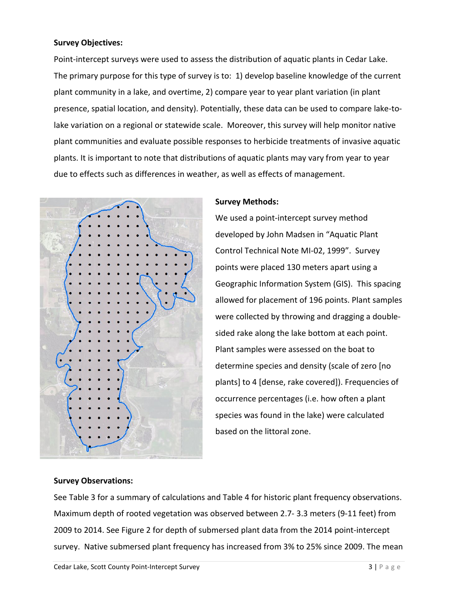## **Survey Objectives:**

Point-intercept surveys were used to assess the distribution of aquatic plants in Cedar Lake. The primary purpose for this type of survey is to: 1) develop baseline knowledge of the current plant community in a lake, and overtime, 2) compare year to year plant variation (in plant presence, spatial location, and density). Potentially, these data can be used to compare lake-tolake variation on a regional or statewide scale. Moreover, this survey will help monitor native plant communities and evaluate possible responses to herbicide treatments of invasive aquatic plants. It is important to note that distributions of aquatic plants may vary from year to year due to effects such as differences in weather, as well as effects of management.



## **Survey Methods:**

We used a point-intercept survey method developed by John Madsen in "Aquatic Plant Control Technical Note MI-02, 1999". Survey points were placed 130 meters apart using a Geographic Information System (GIS). This spacing allowed for placement of 196 points. Plant samples were collected by throwing and dragging a doublesided rake along the lake bottom at each point. Plant samples were assessed on the boat to determine species and density (scale of zero [no plants] to 4 [dense, rake covered]). Frequencies of occurrence percentages (i.e. how often a plant species was found in the lake) were calculated based on the littoral zone.

#### **Survey Observations:**

See Table 3 for a summary of calculations and Table 4 for historic plant frequency observations. Maximum depth of rooted vegetation was observed between 2.7- 3.3 meters (9-11 feet) from 2009 to 2014. See Figure 2 for depth of submersed plant data from the 2014 point-intercept survey. Native submersed plant frequency has increased from 3% to 25% since 2009. The mean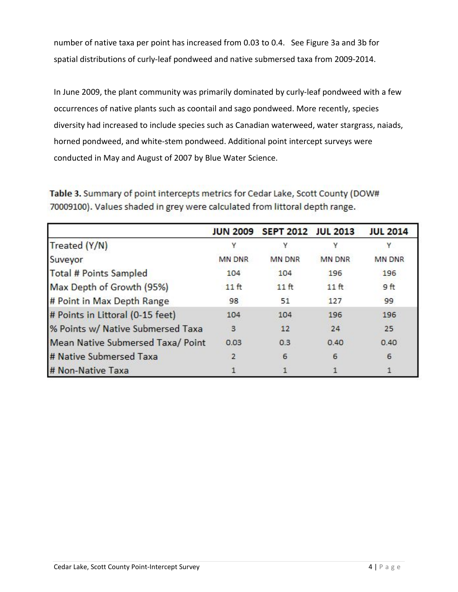number of native taxa per point has increased from 0.03 to 0.4. See Figure 3a and 3b for spatial distributions of curly-leaf pondweed and native submersed taxa from 2009-2014.

In June 2009, the plant community was primarily dominated by curly-leaf pondweed with a few occurrences of native plants such as coontail and sago pondweed. More recently, species diversity had increased to include species such as Canadian waterweed, water stargrass, naiads, horned pondweed, and white-stem pondweed. Additional point intercept surveys were conducted in May and August of 2007 by Blue Water Science.

Table 3. Summary of point intercepts metrics for Cedar Lake, Scott County (DOW# 70009100). Values shaded in grey were calculated from littoral depth range.

|                                   | <b>JUN 2009</b>  | SEPT 2012 JUL 2013 |                  | <b>JUL 2014</b> |
|-----------------------------------|------------------|--------------------|------------------|-----------------|
| Treated (Y/N)                     |                  |                    |                  |                 |
| Suveyor                           | <b>MN DNR</b>    | <b>MN DNR</b>      | <b>MN DNR</b>    | <b>MN DNR</b>   |
| Total # Points Sampled            | 104              | 104                | 196              | 196             |
| Max Depth of Growth (95%)         | 11 <sub>ft</sub> | $11$ ft            | 11 <sub>ft</sub> | 9 <sub>ft</sub> |
| # Point in Max Depth Range        | 98               | 51                 | 127              | 99              |
| # Points in Littoral (0-15 feet)  | 104              | 104                | 196              | 196             |
| % Points w/ Native Submersed Taxa | 3                | 12                 | 24               | 25              |
| Mean Native Submersed Taxa/ Point | 0.03             | 0.3                | 0.40             | 0.40            |
| # Native Submersed Taxa           |                  | 6                  | 6                | 6               |
| # Non-Native Taxa                 |                  |                    |                  |                 |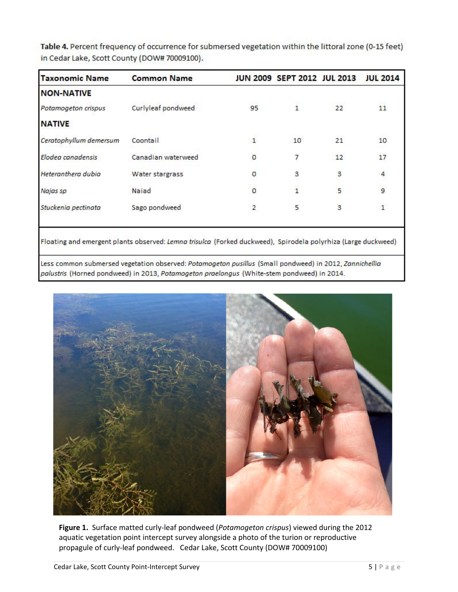| <b>Common Name</b> |                |              |    | <b>JUL 2014</b>             |
|--------------------|----------------|--------------|----|-----------------------------|
|                    |                |              |    |                             |
| Curlyleaf pondweed | 95             | 1.           | 22 | 11                          |
|                    |                |              |    |                             |
| Coontail           | 1              | 10           | 21 | 10                          |
| Canadian waterweed | 0              | 7            | 12 | 17                          |
| Water stargrass    | o              | З            | 3  | 4                           |
| Najad              | $\circ$        | $\mathbf{1}$ | 5  | $\overline{9}$              |
| Sago pondweed      | $\overline{2}$ | 5            | 3  | 1                           |
|                    |                |              |    | JUN 2009 SEPT 2012 JUL 2013 |

Table 4. Percent frequency of occurrence for submersed vegetation within the littoral zone (0-15 feet) in Cedar Lake, Scott County (DOW# 70009100).

Floating and emergent plants observed: Lemna trisulca (Forked duckweed), Spirodela polyrhiza (Large duckweed)

Less common submersed vegetation observed: Potamogeton pusillus (Small pondweed) in 2012, Zannichellia palustris (Horned pondweed) in 2013, Potamogeton praelongus (White-stem pondweed) in 2014.



**Figure 1.** Surface matted curly-leaf pondweed (*Potamogeton crispus*) viewed during the 2012 aquatic vegetation point intercept survey alongside a photo of the turion or reproductive propagule of curly-leaf pondweed. Cedar Lake, Scott County (DOW# 70009100)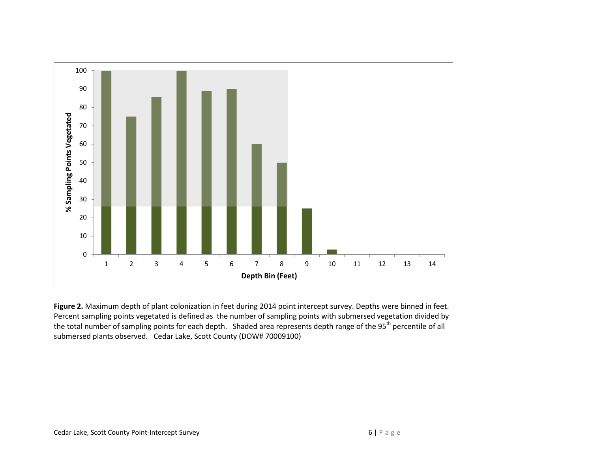

**Figure 2.** Maximum depth of plant colonization in feet during 2014 point intercept survey. Depths were binned in feet. Percent sampling points vegetated is defined as the number of sampling points with submersed vegetation divided by the total number of sampling points for each depth. Shaded area represents depth range of the 95<sup>th</sup> percentile of all submersed plants observed. Cedar Lake, Scott County (DOW# 70009100)